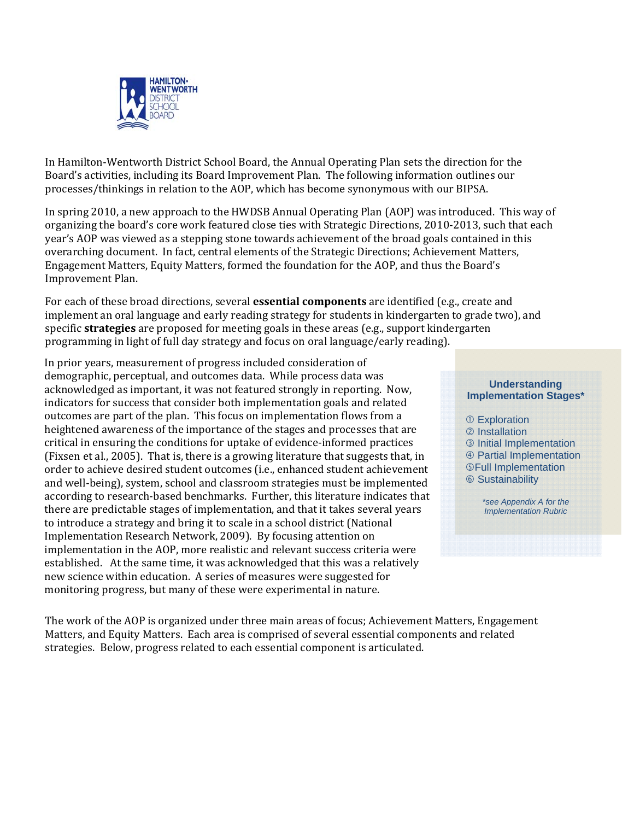

In Hamilton‐Wentworth District School Board, the Annual Operating Plan sets the direction for the Board's activities, including its Board Improvement Plan. The following information outlines our processes/thinkings in relation to the AOP, which has become synonymous with our BIPSA.

In spring 2010, a new approach to the HWDSB Annual Operating Plan (AOP) was introduced. This way of organizing the board's core work featured close ties with Strategic Directions, 2010‐2013, such that each year's AOP was viewed as a stepping stone towards achievement of the broad goals contained in this overarching document. In fact, central elements of the Strategic Directions; Achievement Matters, Engagement Matters, Equity Matters, formed the foundation for the AOP, and thus the Board's Improvement Plan.

For each of these broad directions, several **essential components** are identified (e.g., create and implement an oral language and early reading strategy for students in kindergarten to grade two), and specific **strategies** are proposed for meeting goals in these areas (e.g., support kindergarten programming in light of full day strategy and focus on oral language/early reading).

Implementation Research Network, 2009). By focusing attention on *1. What We Have Done* new science within education. A series of measures were suggested for In prior years, measurement of progress included consideration of demographic, perceptual, and outcomes data. While process data was acknowledged as important, it was not featured strongly in reporting. Now, indicators for success that consider both implementation goals and related outcomes are part of the plan. This focus on implementation flows from a heightened awareness of the importance of the stages and processes that are critical in ensuring the conditions for uptake of evidence‐informed practices (Fixsen et al., 2005). That is, there is a growing literature that suggests that, in order to achieve desired student outcomes (i.e., enhanced student achievement and well‐being), system, school and classroom strategies must be implemented according to research‐based benchmarks. Further, this literature indicates that there are predictable stages of implementation, and that it takes several years to introduce a strategy and bring it to scale in a school district (National implementation in the AOP, more realistic and relevant success criteria were established. At the same time, it was acknowledged that this was a relatively monitoring progress, but many of these were experimental in nature.

The work of the AOP is organized under three main areas of focus; Achievement Matters, Engagement Matters, and Equity Matters. Each area is comprised of several essential components and related strategies. Below, progress related to each essential component is articulated.

## **Understanding Implementation Stages\***

- Exploration
- 2 Installation
- **3** Initial Implementation
- Partial Implementation
- Full Implementation
- **6 Sustainability**

*\*see Appendix A for the Implementation Rubric*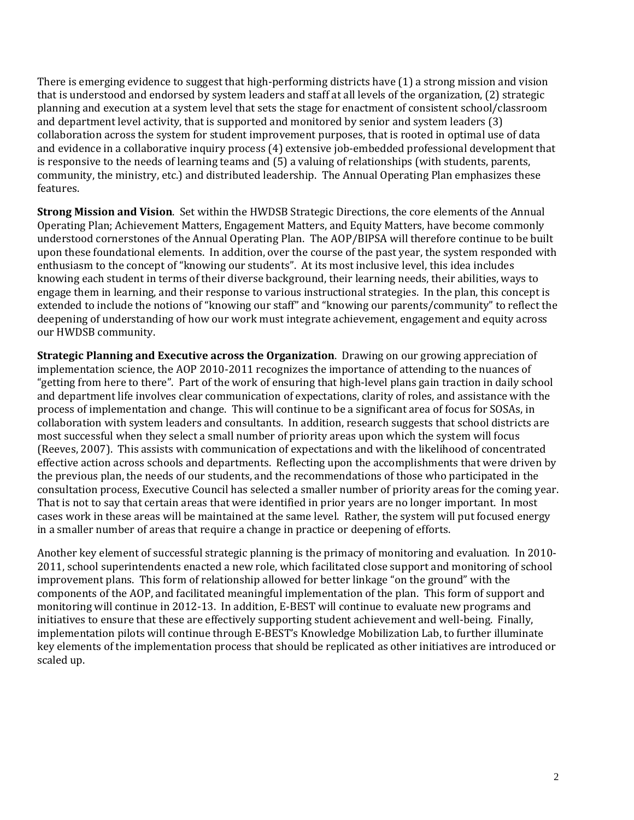There is emerging evidence to suggest that high-performing districts have (1) a strong mission and vision that is understood and endorsed by system leaders and staff at all levels of the organization, (2) strategic planning and execution at a system level that sets the stage for enactment of consistent school/classroom and department level activity, that is supported and monitored by senior and system leaders (3) collaboration across the system for student improvement purposes, that is rooted in optimal use of data and evidence in a collaborative inquiry process (4) extensive job-embedded professional development that is responsive to the needs of learning teams and (5) a valuing of relationships (with students, parents, community, the ministry, etc.) and distributed leadership. The Annual Operating Plan emphasizes these features.

**Strong Mission and Vision**. Set within the HWDSB Strategic Directions, the core elements of the Annual Operating Plan; Achievement Matters, Engagement Matters, and Equity Matters, have become commonly understood cornerstones of the Annual Operating Plan. The AOP/BIPSA will therefore continue to be built upon these foundational elements. In addition, over the course of the past year, the system responded with enthusiasm to the concept of "knowing our students". At its most inclusive level, this idea includes knowing each student in terms of their diverse background, their learning needs, their abilities, ways to engage them in learning, and their response to various instructional strategies. In the plan, this concept is extended to include the notions of "knowing our staff" and "knowing our parents/community" to reflect the deepening of understanding of how our work must integrate achievement, engagement and equity across our HWDSB community.

**Strategic Planning and Executive across the Organization**. Drawing on our growing appreciation of implementation science, the AOP 2010‐2011 recognizes the importance of attending to the nuances of "getting from here to there". Part of the work of ensuring that high‐level plans gain traction in daily school and department life involves clear communication of expectations, clarity of roles, and assistance with the process of implementation and change. This will continue to be a significant area of focus for SOSAs, in collaboration with system leaders and consultants. In addition, research suggests that school districts are most successful when they select a small number of priority areas upon which the system will focus (Reeves, 2007). This assists with communication of expectations and with the likelihood of concentrated effective action across schools and departments. Reflecting upon the accomplishments that were driven by the previous plan, the needs of our students, and the recommendations of those who participated in the consultation process, Executive Council has selected a smaller number of priority areas for the coming year. That is not to say that certain areas that were identified in prior years are no longer important. In most cases work in these areas will be maintained at the same level. Rather, the system will put focused energy in a smaller number of areas that require a change in practice or deepening of efforts.

Another key element of successful strategic planning is the primacy of monitoring and evaluation. In 2010‐ 2011, school superintendents enacted a new role, which facilitated close support and monitoring of school improvement plans. This form of relationship allowed for better linkage "on the ground" with the components of the AOP, and facilitated meaningful implementation of the plan. This form of support and monitoring will continue in 2012‐13. In addition, E‐BEST will continue to evaluate new programs and initiatives to ensure that these are effectively supporting student achievement and well-being. Finally, implementation pilots will continue through E‐BEST's Knowledge Mobilization Lab, to further illuminate key elements of the implementation process that should be replicated as other initiatives are introduced or scaled up.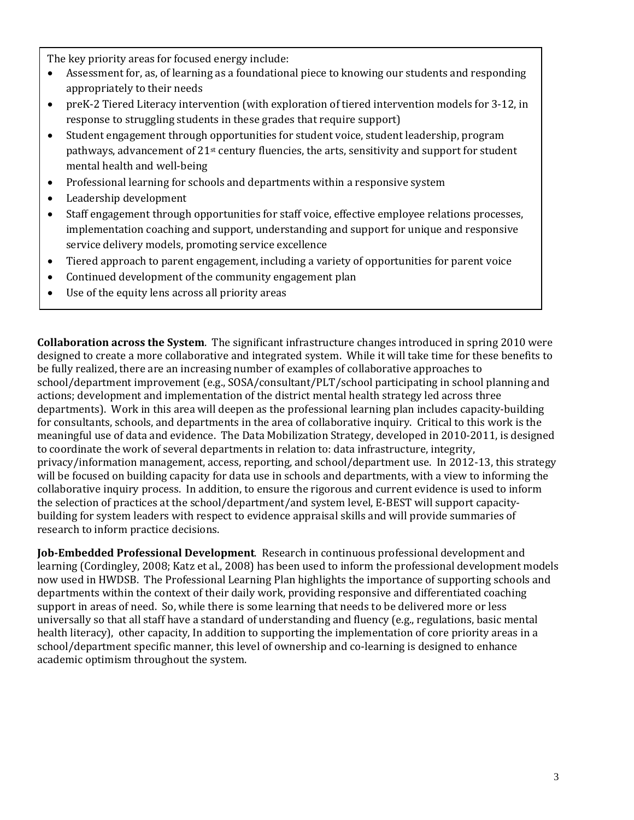The key priority areas for focused energy include:

- Assessment for, as, of learning as a foundational piece to knowing our students and responding appropriately to their needs
- preK-2 Tiered Literacy intervention (with exploration of tiered intervention models for 3-12, in response to struggling students in these grades that require support)
- Student engagement through opportunities for student voice, student leadership, program pathways, advancement of  $21<sup>st</sup>$  century fluencies, the arts, sensitivity and support for student mental health and well‐being
- Professional learning for schools and departments within a responsive system
- Leadership development
- Staff engagement through opportunities for staff voice, effective employee relations processes, implementation coaching and support, understanding and support for unique and responsive service delivery models, promoting service excellence
- Tiered approach to parent engagement, including a variety of opportunities for parent voice
- Continued development of the community engagement plan
- Use of the equity lens across all priority areas

**Collaboration across the System**. The significant infrastructure changes introduced in spring 2010 were designed to create a more collaborative and integrated system. While it will take time for these benefits to be fully realized, there are an increasing number of examples of collaborative approaches to school/department improvement (e.g., SOSA/consultant/PLT/school participating in school planning and actions; development and implementation of the district mental health strategy led across three departments). Work in this area will deepen as the professional learning plan includes capacity‐building for consultants, schools, and departments in the area of collaborative inquiry. Critical to this work is the meaningful use of data and evidence. The Data Mobilization Strategy, developed in 2010‐2011, is designed to coordinate the work of several departments in relation to: data infrastructure, integrity, privacy/information management, access, reporting, and school/department use. In 2012‐13, this strategy will be focused on building capacity for data use in schools and departments, with a view to informing the collaborative inquiry process. In addition, to ensure the rigorous and current evidence is used to inform the selection of practices at the school/department/and system level, E‐BEST will support capacity‐ building for system leaders with respect to evidence appraisal skills and will provide summaries of research to inform practice decisions.

**JobEmbedded Professional Development**. Research in continuous professional development and learning (Cordingley, 2008; Katz et al., 2008) has been used to inform the professional development models now used in HWDSB. The Professional Learning Plan highlights the importance of supporting schools and departments within the context of their daily work, providing responsive and differentiated coaching support in areas of need. So, while there is some learning that needs to be delivered more or less universally so that all staff have a standard of understanding and fluency (e.g., regulations, basic mental health literacy), other capacity, In addition to supporting the implementation of core priority areas in a school/department specific manner, this level of ownership and co-learning is designed to enhance academic optimism throughout the system.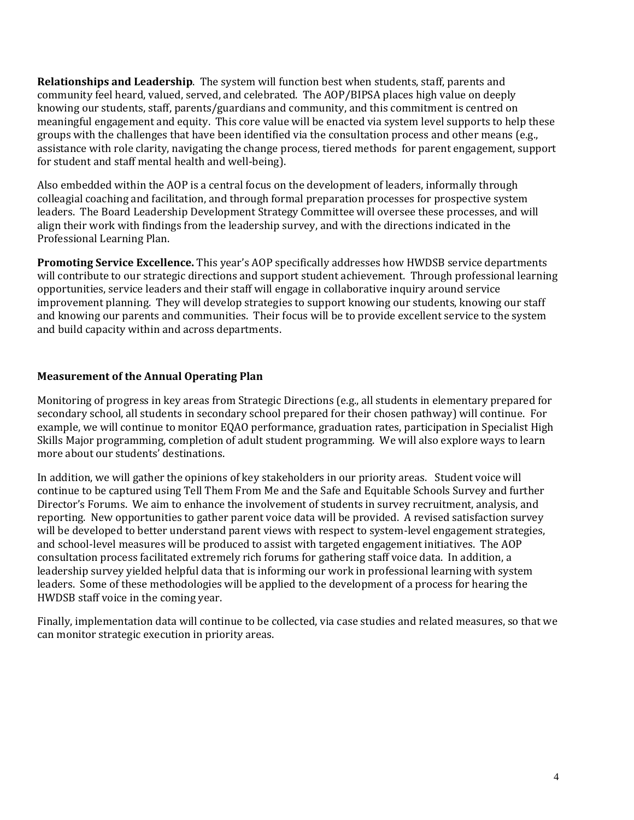**Relationships and Leadership**. The system will function best when students, staff, parents and community feel heard, valued, served, and celebrated. The AOP/BIPSA places high value on deeply knowing our students, staff, parents/guardians and community, and this commitment is centred on meaningful engagement and equity. This core value will be enacted via system level supports to help these groups with the challenges that have been identified via the consultation process and other means (e.g., assistance with role clarity, navigating the change process, tiered methods for parent engagement, support for student and staff mental health and well-being).

Also embedded within the AOP is a central focus on the development of leaders, informally through colleagial coaching and facilitation, and through formal preparation processes for prospective system leaders. The Board Leadership Development Strategy Committee will oversee these processes, and will align their work with findings from the leadership survey, and with the directions indicated in the Professional Learning Plan.

**Promoting Service Excellence.** This year's AOP specifically addresses how HWDSB service departments will contribute to our strategic directions and support student achievement. Through professional learning opportunities, service leaders and their staff will engage in collaborative inquiry around service improvement planning. They will develop strategies to support knowing our students, knowing our staff and knowing our parents and communities. Their focus will be to provide excellent service to the system and build capacity within and across departments.

## **Measurement of the Annual Operating Plan**

Monitoring of progress in key areas from Strategic Directions (e.g., all students in elementary prepared for secondary school, all students in secondary school prepared for their chosen pathway) will continue. For example, we will continue to monitor EQAO performance, graduation rates, participation in Specialist High Skills Major programming, completion of adult student programming. We will also explore ways to learn more about our students' destinations.

In addition, we will gather the opinions of key stakeholders in our priority areas. Student voice will continue to be captured using Tell Them From Me and the Safe and Equitable Schools Survey and further Director's Forums. We aim to enhance the involvement of students in survey recruitment, analysis, and reporting. New opportunities to gather parent voice data will be provided. A revised satisfaction survey will be developed to better understand parent views with respect to system-level engagement strategies, and school‐level measures will be produced to assist with targeted engagement initiatives. The AOP consultation process facilitated extremely rich forums for gathering staff voice data. In addition, a leadership survey yielded helpful data that is informing our work in professional learning with system leaders. Some of these methodologies will be applied to the development of a process for hearing the HWDSB staff voice in the coming year.

Finally, implementation data will continue to be collected, via case studies and related measures, so that we can monitor strategic execution in priority areas.